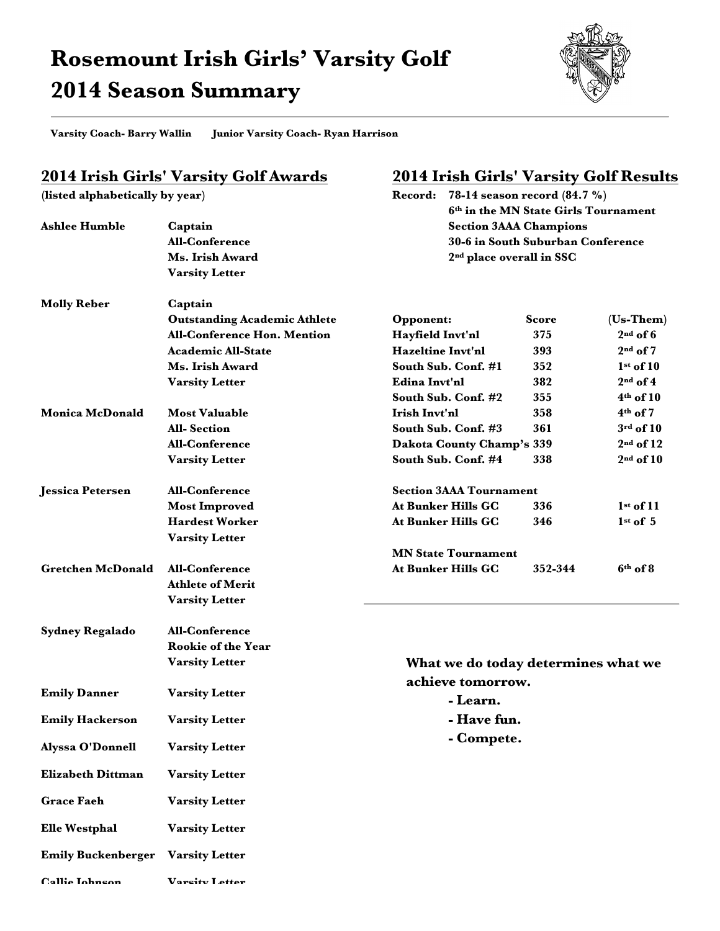## **Rosemount Irish Girls' Varsity Golf 2014 Season Summary**



**Varsity Coach- Barry Wallin Junior Varsity Coach- Ryan Harrison** 

## **2014 Irish Girls' Varsity Golf Awards**

**(listed alphabetically by year)**

**Callie Johnson Varsity Letter**

## **2014 Irish Girls' Varsity Golf Results**

**Record: 78-14 season record (84.7 %)**

|                                          |                                     |                                                                           | 6th in the MN State Girls Tournament |               |
|------------------------------------------|-------------------------------------|---------------------------------------------------------------------------|--------------------------------------|---------------|
| <b>Ashlee Humble</b>                     | Captain                             | <b>Section 3AAA Champions</b>                                             |                                      |               |
|                                          | <b>All-Conference</b>               | 30-6 in South Suburban Conference<br>2 <sup>nd</sup> place overall in SSC |                                      |               |
|                                          | Ms. Irish Award                     |                                                                           |                                      |               |
|                                          | <b>Varsity Letter</b>               |                                                                           |                                      |               |
|                                          |                                     |                                                                           |                                      |               |
| <b>Molly Reber</b>                       | Captain                             |                                                                           |                                      |               |
|                                          | <b>Outstanding Academic Athlete</b> | Opponent:                                                                 | <b>Score</b>                         | $(Us-Them)$   |
|                                          | <b>All-Conference Hon. Mention</b>  | Hayfield Invt'nl                                                          | 375                                  | $2nd$ of 6    |
|                                          | <b>Academic All-State</b>           | <b>Hazeltine Invt'nl</b>                                                  | 393                                  | $2nd$ of 7    |
|                                          | Ms. Irish Award                     | South Sub. Conf. #1                                                       | 352                                  | $1st$ of 10   |
|                                          | <b>Varsity Letter</b>               | Edina Invt'nl                                                             | 382                                  | $2nd$ of 4    |
|                                          |                                     | South Sub. Conf. #2                                                       | 355                                  | $4th$ of 10   |
| <b>Monica McDonald</b>                   | <b>Most Valuable</b>                | Irish Invt'nl                                                             | 358                                  | $4th$ of 7    |
|                                          | <b>All-Section</b>                  | South Sub. Conf. #3                                                       | 361                                  | $3rd$ of $10$ |
|                                          | <b>All-Conference</b>               | Dakota County Champ's 339                                                 |                                      | $2nd$ of 12   |
|                                          | <b>Varsity Letter</b>               | South Sub. Conf. #4                                                       | 338                                  | $2nd$ of 10   |
|                                          |                                     |                                                                           |                                      |               |
| <b>Jessica Petersen</b>                  | <b>All-Conference</b>               | <b>Section 3AAA Tournament</b>                                            |                                      |               |
|                                          | <b>Most Improved</b>                | <b>At Bunker Hills GC</b>                                                 | 336                                  | $1st$ of 11   |
|                                          | <b>Hardest Worker</b>               | <b>At Bunker Hills GC</b>                                                 | 346                                  | $1st$ of 5    |
|                                          | <b>Varsity Letter</b>               |                                                                           |                                      |               |
| <b>Gretchen McDonald</b>                 |                                     | <b>MN State Tournament</b>                                                |                                      |               |
|                                          | All-Conference                      | <b>At Bunker Hills GC</b>                                                 | 352-344                              | $6th$ of 8    |
|                                          | <b>Athlete of Merit</b>             |                                                                           |                                      |               |
|                                          | <b>Varsity Letter</b>               |                                                                           |                                      |               |
| <b>Sydney Regalado</b>                   | <b>All-Conference</b>               |                                                                           |                                      |               |
|                                          | <b>Rookie of the Year</b>           |                                                                           |                                      |               |
|                                          | <b>Varsity Letter</b>               | What we do today determines what we                                       |                                      |               |
|                                          |                                     | achieve tomorrow.                                                         |                                      |               |
| <b>Emily Danner</b>                      | <b>Varsity Letter</b>               |                                                                           |                                      |               |
|                                          |                                     | - Learn.                                                                  |                                      |               |
| <b>Emily Hackerson</b>                   | <b>Varsity Letter</b>               | - Have fun.                                                               |                                      |               |
| <b>Alyssa O'Donnell</b>                  | <b>Varsity Letter</b>               | - Compete.                                                                |                                      |               |
|                                          |                                     |                                                                           |                                      |               |
| <b>Elizabeth Dittman</b>                 | <b>Varsity Letter</b>               |                                                                           |                                      |               |
| <b>Grace Faeh</b>                        | <b>Varsity Letter</b>               |                                                                           |                                      |               |
| <b>Elle Westphal</b>                     | <b>Varsity Letter</b>               |                                                                           |                                      |               |
| <b>Emily Buckenberger</b> Varsity Letter |                                     |                                                                           |                                      |               |